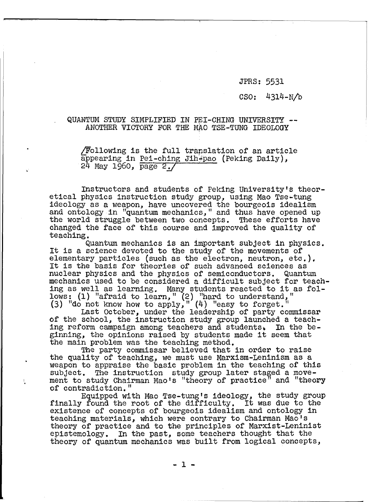JPRS: 5531

## CSO: 43l4-N/b

## QUANTUM STUDY SIMPLIFIEV IN PEl-CHING UNIVERSITY **--** ANOTHER VIOTORY FOR THE MAO TSE-TUNG IDEOLOGY

 $/Following$  is the full translation of an article appearing in <u>Pei-ching Jih<sup>1</sup>pao</u> (Peking Daily), 24 May 1960, page 2./

Instructors and students of Peking University's theoretical physics instruction study group, using Mao Tse-tung<br>ideology as a weapon, have uncovered the bourgeois idealism and ontology in "quantum mechanics," and thus have opened up<br>the world struggle between two concepts. These efforts have changed the face of this course and improved the quality of teaching.

Quantum mechanics is an important subject in physics.<br>It is a science devoted to the study of the movements of elementary particles (such as the electron, neutron, etc.). It is the basis for theories of such advanced sciences as nuclear physics and the physics of semiconductors. Quantum mechanics used to be considered a difficult subject for teachmechanics used to be considered a difficult subject for teach<br>ing as well as learning. Many students reacted to it as follows: (1) "afraid to learn," (2) "hard to understand," (3) "do not know how to apply,"  $(4)$  "easy to forget."

Last October, under the leadership of party commissar of the school, the instruction study group launched a teaching reform campaign among teachers and students. In the beginning, the opinions raised by students made it seem that the main problem was the teaching method.

The party commissar believed that in order to raise the quality of teaching, we must use Marxism-Leninism as a weapon to appraise the basic problem in the teaching of this subject. The instruction study group later staged a move-I ament to study Chairman Mao's "theory of practice" and "theory

of contradiction."<br>Equipped with Mao Tse-tung's ideology, the study group finally found the root of the difficulty. It was due to the eXistence of concepts of bourgeois idealism and ontology in teaching materials, which were contrary to Chairman Mao's theory of practice and to the principles of Marxist-Leninist<br>epistemology. In the past, some teachers thought that the In the past, some teachers thought that the theory of quantum mechanics was built from logical concepts,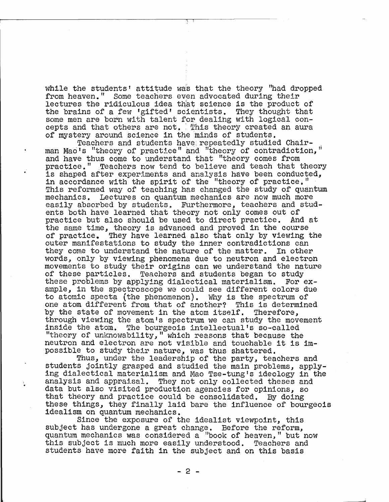while the students' attitude was that the theory "had dropped from heaven." Some teachers even advocated during their lectures the ridiculous idea that science is the product of the brains of a few 'gifted! scientists. They thought that some men are born with talent for dealing with logical concepts and that others are not. This theory created an aura of mystery around science in the minds of students.<br>Feachers and students have repeatedly studied Chair-

man Mao's "theory of practice" and "theory of contradiction," and have thus come to understand that "theory comes from practice." ,Teachers now tend to believe and teach that theory<br>is shaped after experiments and analysis have been conducted, in accordance with the spirit of the "theory of practice." This reformed way of teaching has changed the study of quantum mechanics. Lectures on quantum mechanics are now much more easily absorbed by students. Furthermore, teachers and students both have learned that theory not only comes out of practice but also should be used to direct practice. And at the same time, theory is advanced and proved in the course of practice. They have learned also that only by viewing the outer manifestations to study the inner contradictions can they come to understand the nature of the matter. In other words, only by viewing phenomena due to neutron and electron movements to study their origins can we understand the nature of these particles. Teachers and students began to study these problems by applying dialectical materialism. For example, in the spectroscope we could see different colors due to atomic specta (the phenomenon). Why is the spectrum of one atom different from that of another? This is determined by the state of movement in the atom itself. Therefore, through viewing the atom's spectrum we can study the movement inside the atom. The bourgeois intellectual's so-called "theory of unknowability," which reasons that because the neutron and electron are not visible and touchable it is impossible to study their nature, was thus shattered.

Thus, under the leadership of the party, teachers and students jointly grasped and studied the main problems, apply- ing dialectical materialism and Mao Tse-tung's ideology in the analysis and appraisal. They not only collected theses and data but also visited production agencies for opinions, so<br>that theory and practice could be consolidated. By doing these things, they finally laid bare the influence of bourgeois idealism on quantum mechanics.

Since the exposure of the idealist Viewpoint, this subject has undergone a great change. Before the reform, quantum mechanics was considered a "book of heaven," but now this subject is much more easily understood. Teachers and students have more faith in the subject and on this basis